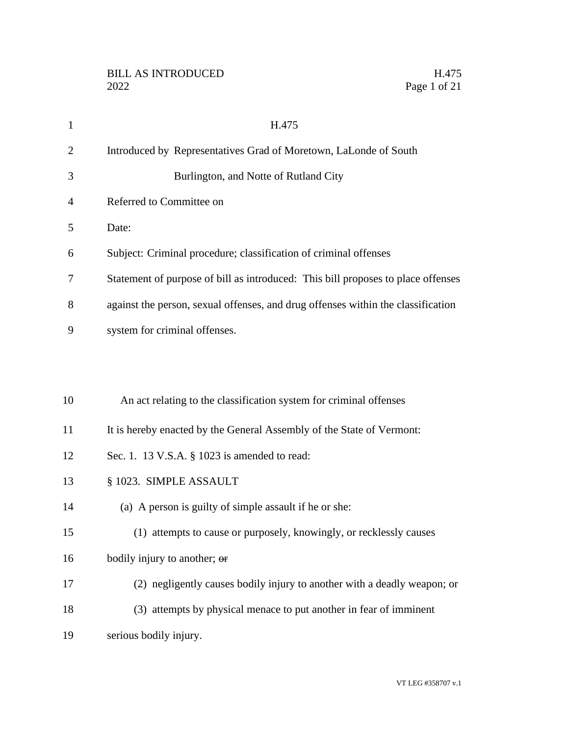| $\mathbf{1}$   | H.475                                                                            |
|----------------|----------------------------------------------------------------------------------|
| $\overline{2}$ | Introduced by Representatives Grad of Moretown, LaLonde of South                 |
| 3              | Burlington, and Notte of Rutland City                                            |
| 4              | Referred to Committee on                                                         |
| 5              | Date:                                                                            |
| 6              | Subject: Criminal procedure; classification of criminal offenses                 |
| 7              | Statement of purpose of bill as introduced: This bill proposes to place offenses |
| 8              | against the person, sexual offenses, and drug offenses within the classification |
| 9              | system for criminal offenses.                                                    |
|                |                                                                                  |
|                |                                                                                  |
| 10             | An act relating to the classification system for criminal offenses               |
| 11             | It is hereby enacted by the General Assembly of the State of Vermont:            |
| 12             | Sec. 1. 13 V.S.A. § 1023 is amended to read:                                     |
| 13             | § 1023. SIMPLE ASSAULT                                                           |
| 14             | (a) A person is guilty of simple assault if he or she:                           |
| 15             | (1) attempts to cause or purposely, knowingly, or recklessly causes              |
| 16             | bodily injury to another; or                                                     |
| 17             | (2) negligently causes bodily injury to another with a deadly weapon; or         |
| 18             | (3) attempts by physical menace to put another in fear of imminent               |
| 19             | serious bodily injury.                                                           |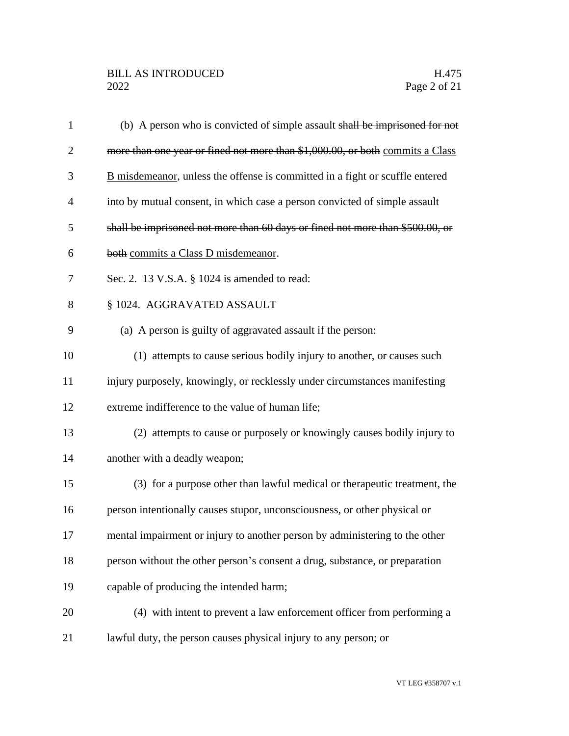| $\mathbf{1}$   | (b) A person who is convicted of simple assault shall be imprisoned for not   |
|----------------|-------------------------------------------------------------------------------|
| $\overline{2}$ | more than one year or fined not more than \$1,000.00, or both commits a Class |
| 3              | B misdemeanor, unless the offense is committed in a fight or scuffle entered  |
| 4              | into by mutual consent, in which case a person convicted of simple assault    |
| 5              | shall be imprisoned not more than 60 days or fined not more than \$500.00, or |
| 6              | both commits a Class D misdemeanor.                                           |
| 7              | Sec. 2. 13 V.S.A. § 1024 is amended to read:                                  |
| 8              | § 1024. AGGRAVATED ASSAULT                                                    |
| 9              | (a) A person is guilty of aggravated assault if the person:                   |
| 10             | (1) attempts to cause serious bodily injury to another, or causes such        |
| 11             | injury purposely, knowingly, or recklessly under circumstances manifesting    |
| 12             | extreme indifference to the value of human life;                              |
| 13             | (2) attempts to cause or purposely or knowingly causes bodily injury to       |
| 14             | another with a deadly weapon;                                                 |
| 15             | (3) for a purpose other than lawful medical or therapeutic treatment, the     |
| 16             | person intentionally causes stupor, unconsciousness, or other physical or     |
| 17             | mental impairment or injury to another person by administering to the other   |
| 18             | person without the other person's consent a drug, substance, or preparation   |
| 19             | capable of producing the intended harm;                                       |
| 20             | (4) with intent to prevent a law enforcement officer from performing a        |
| 21             | lawful duty, the person causes physical injury to any person; or              |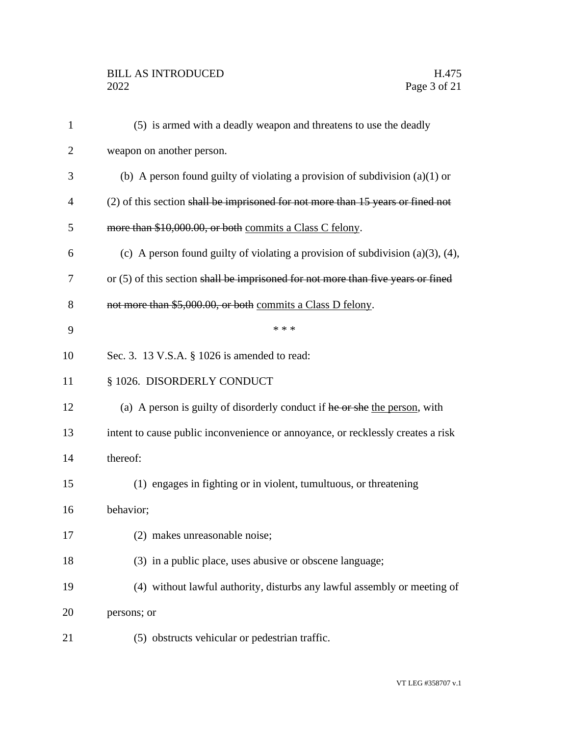# BILL AS INTRODUCED H.475<br>2022 Page 3 of 21

| 1              | (5) is armed with a deadly weapon and threatens to use the deadly                    |
|----------------|--------------------------------------------------------------------------------------|
| $\overline{2}$ | weapon on another person.                                                            |
| 3              | (b) A person found guilty of violating a provision of subdivision $(a)(1)$ or        |
| 4              | (2) of this section shall be imprisoned for not more than 15 years or fined not      |
| 5              | more than \$10,000.00, or both commits a Class C felony.                             |
| 6              | (c) A person found guilty of violating a provision of subdivision $(a)(3)$ , $(4)$ , |
| 7              | or $(5)$ of this section shall be imprisoned for not more than five years or fined   |
| 8              | not more than \$5,000.00, or both commits a Class D felony.                          |
| 9              | * * *                                                                                |
| 10             | Sec. 3. 13 V.S.A. § 1026 is amended to read:                                         |
| 11             | § 1026. DISORDERLY CONDUCT                                                           |
| 12             | (a) A person is guilty of disorderly conduct if he or she the person, with           |
| 13             | intent to cause public inconvenience or annoyance, or recklessly creates a risk      |
| 14             | thereof:                                                                             |
| 15             | (1) engages in fighting or in violent, tumultuous, or threatening                    |
| 16             | behavior;                                                                            |
| 17             | (2) makes unreasonable noise;                                                        |
| 18             | (3) in a public place, uses abusive or obscene language;                             |
| 19             | (4) without lawful authority, disturbs any lawful assembly or meeting of             |
| 20             | persons; or                                                                          |
| 21             | (5) obstructs vehicular or pedestrian traffic.                                       |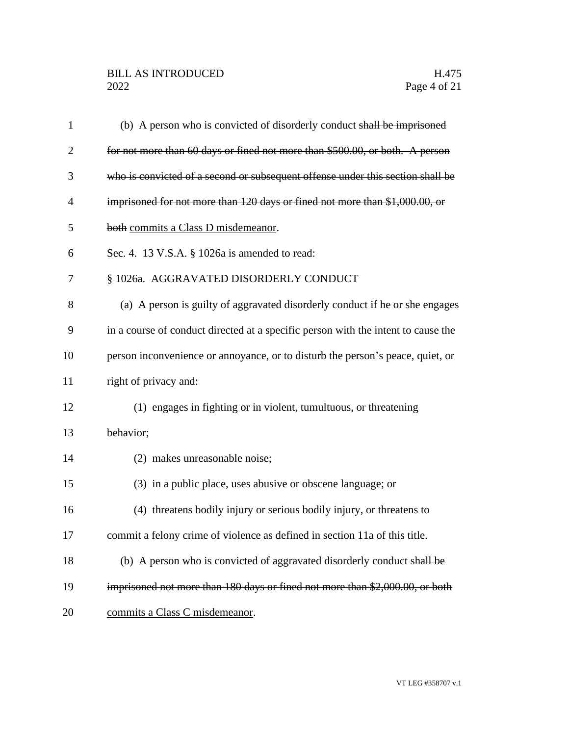| $\mathbf{1}$ | (b) A person who is convicted of disorderly conduct shall be imprisoned           |
|--------------|-----------------------------------------------------------------------------------|
| 2            | for not more than 60 days or fined not more than \$500.00, or both. A person      |
| 3            | who is convicted of a second or subsequent offense under this section shall be    |
| 4            | imprisoned for not more than 120 days or fined not more than \$1,000.00, or       |
| 5            | both commits a Class D misdemeanor.                                               |
| 6            | Sec. 4. 13 V.S.A. § 1026a is amended to read:                                     |
| 7            | § 1026a. AGGRAVATED DISORDERLY CONDUCT                                            |
| 8            | (a) A person is guilty of aggravated disorderly conduct if he or she engages      |
| 9            | in a course of conduct directed at a specific person with the intent to cause the |
| 10           | person inconvenience or annoyance, or to disturb the person's peace, quiet, or    |
| 11           | right of privacy and:                                                             |
| 12           | (1) engages in fighting or in violent, tumultuous, or threatening                 |
| 13           | behavior;                                                                         |
| 14           | (2) makes unreasonable noise;                                                     |
| 15           | (3) in a public place, uses abusive or obscene language; or                       |
| 16           | (4) threatens bodily injury or serious bodily injury, or threatens to             |
| 17           | commit a felony crime of violence as defined in section 11a of this title.        |
| 18           | (b) A person who is convicted of aggravated disorderly conduct shall be           |
| 19           | imprisoned not more than 180 days or fined not more than \$2,000.00, or both      |
| 20           | commits a Class C misdemeanor.                                                    |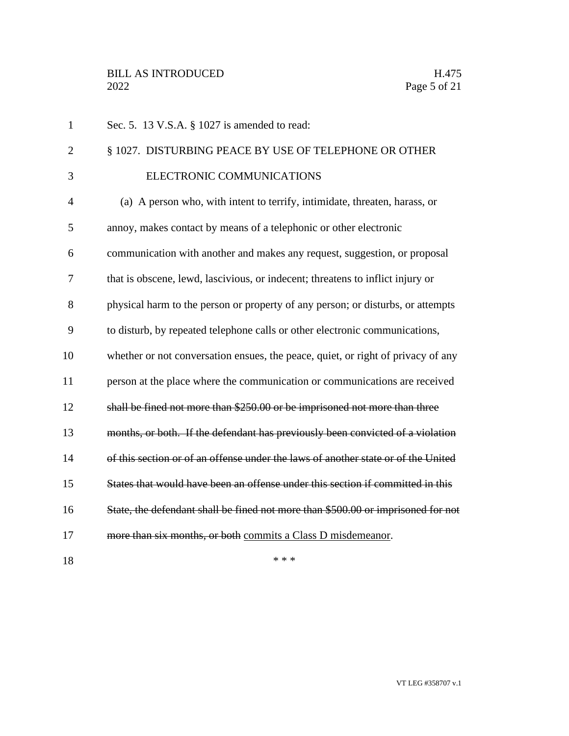| $\mathbf{1}$   | Sec. 5. 13 V.S.A. § 1027 is amended to read:                                      |
|----------------|-----------------------------------------------------------------------------------|
| $\overline{2}$ | § 1027. DISTURBING PEACE BY USE OF TELEPHONE OR OTHER                             |
| 3              | ELECTRONIC COMMUNICATIONS                                                         |
| 4              | (a) A person who, with intent to terrify, intimidate, threaten, harass, or        |
| 5              | annoy, makes contact by means of a telephonic or other electronic                 |
| 6              | communication with another and makes any request, suggestion, or proposal         |
| 7              | that is obscene, lewd, lascivious, or indecent; threatens to inflict injury or    |
| 8              | physical harm to the person or property of any person; or disturbs, or attempts   |
| 9              | to disturb, by repeated telephone calls or other electronic communications,       |
| 10             | whether or not conversation ensues, the peace, quiet, or right of privacy of any  |
| 11             | person at the place where the communication or communications are received        |
| 12             | shall be fined not more than \$250.00 or be imprisoned not more than three        |
| 13             | months, or both. If the defendant has previously been convicted of a violation    |
| 14             | of this section or of an offense under the laws of another state or of the United |
| 15             | States that would have been an offense under this section if committed in this    |
| 16             | State, the defendant shall be fined not more than \$500.00 or imprisoned for not  |
| 17             | more than six months, or both commits a Class D misdemeanor.                      |
|                |                                                                                   |

VT LEG #358707 v.1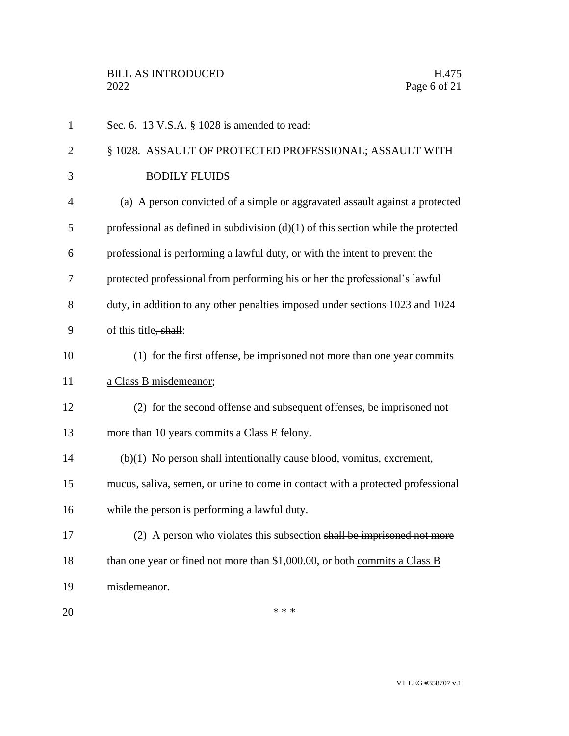| $\mathbf{1}$   | Sec. 6. 13 V.S.A. § 1028 is amended to read:                                        |
|----------------|-------------------------------------------------------------------------------------|
| $\overline{2}$ | § 1028. ASSAULT OF PROTECTED PROFESSIONAL; ASSAULT WITH                             |
| 3              | <b>BODILY FLUIDS</b>                                                                |
| $\overline{4}$ | (a) A person convicted of a simple or aggravated assault against a protected        |
| 5              | professional as defined in subdivision $(d)(1)$ of this section while the protected |
| 6              | professional is performing a lawful duty, or with the intent to prevent the         |
| 7              | protected professional from performing his or her the professional's lawful         |
| 8              | duty, in addition to any other penalties imposed under sections 1023 and 1024       |
| 9              | of this title, shall:                                                               |
| 10             | $(1)$ for the first offense, be imprisoned not more than one year commits           |
| 11             | a Class B misdemeanor;                                                              |
| 12             | $(2)$ for the second offense and subsequent offenses, be imprisoned not             |
| 13             | more than 10 years commits a Class E felony.                                        |
| 14             | $(b)(1)$ No person shall intentionally cause blood, vomitus, excrement,             |
| 15             | mucus, saliva, semen, or urine to come in contact with a protected professional     |
| 16             | while the person is performing a lawful duty.                                       |
| 17             | (2) A person who violates this subsection shall be imprisoned not more              |
| 18             | than one year or fined not more than \$1,000.00, or both commits a Class B          |
| 19             | misdemeanor.                                                                        |
| 20             | * * *                                                                               |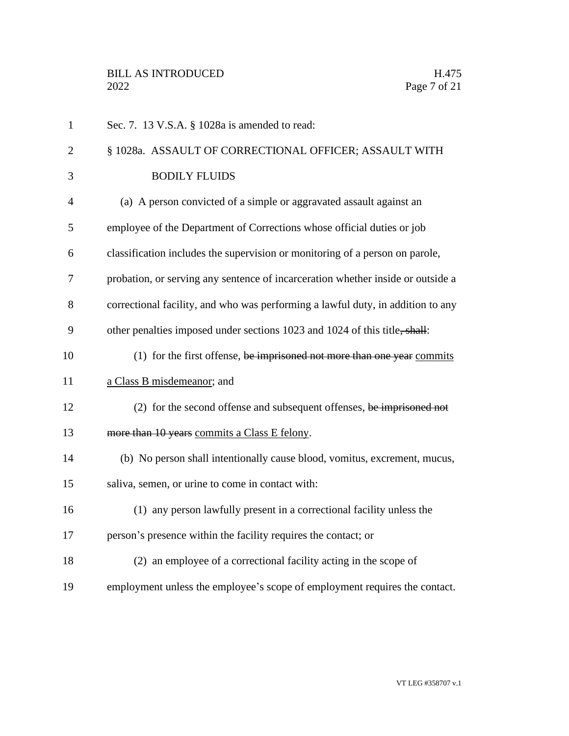| $\mathbf{1}$   | Sec. 7. 13 V.S.A. § 1028a is amended to read:                                   |
|----------------|---------------------------------------------------------------------------------|
| $\overline{2}$ | § 1028a. ASSAULT OF CORRECTIONAL OFFICER; ASSAULT WITH                          |
| 3              | <b>BODILY FLUIDS</b>                                                            |
| $\overline{4}$ | (a) A person convicted of a simple or aggravated assault against an             |
| 5              | employee of the Department of Corrections whose official duties or job          |
| 6              | classification includes the supervision or monitoring of a person on parole,    |
| 7              | probation, or serving any sentence of incarceration whether inside or outside a |
| 8              | correctional facility, and who was performing a lawful duty, in addition to any |
| 9              | other penalties imposed under sections 1023 and 1024 of this title, shall:      |
| 10             | $(1)$ for the first offense, be imprisoned not more than one year commits       |
| 11             | a Class B misdemeanor; and                                                      |
| 12             | (2) for the second offense and subsequent offenses, be imprisoned not           |
| 13             | more than 10 years commits a Class E felony.                                    |
| 14             | (b) No person shall intentionally cause blood, vomitus, excrement, mucus,       |
| 15             | saliva, semen, or urine to come in contact with:                                |
| 16             | (1) any person lawfully present in a correctional facility unless the           |
| 17             | person's presence within the facility requires the contact; or                  |
| 18             | (2) an employee of a correctional facility acting in the scope of               |
| 19             | employment unless the employee's scope of employment requires the contact.      |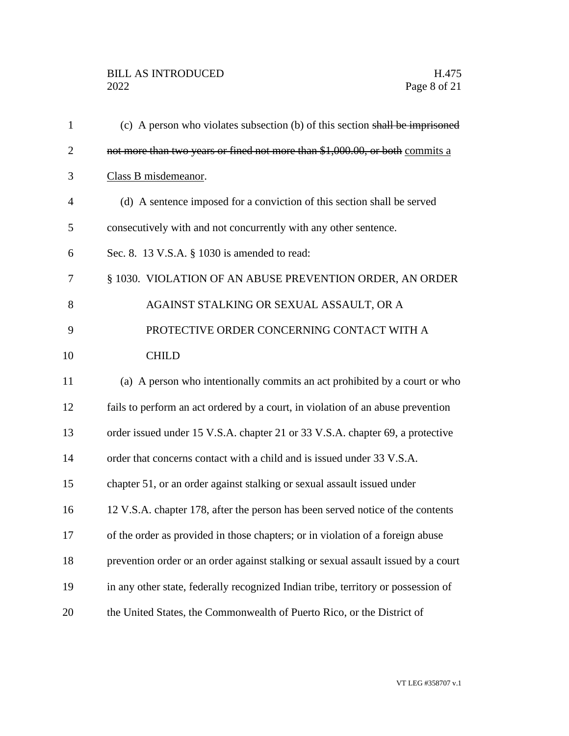| $\mathbf{1}$   | (c) A person who violates subsection (b) of this section shall be imprisoned      |
|----------------|-----------------------------------------------------------------------------------|
| $\overline{2}$ | not more than two years or fined not more than \$1,000.00, or both commits a      |
| 3              | Class B misdemeanor.                                                              |
| $\overline{4}$ | (d) A sentence imposed for a conviction of this section shall be served           |
| 5              | consecutively with and not concurrently with any other sentence.                  |
| 6              | Sec. 8. 13 V.S.A. § 1030 is amended to read:                                      |
| 7              | § 1030. VIOLATION OF AN ABUSE PREVENTION ORDER, AN ORDER                          |
| 8              | AGAINST STALKING OR SEXUAL ASSAULT, OR A                                          |
| 9              | PROTECTIVE ORDER CONCERNING CONTACT WITH A                                        |
| 10             | <b>CHILD</b>                                                                      |
| 11             | (a) A person who intentionally commits an act prohibited by a court or who        |
| 12             | fails to perform an act ordered by a court, in violation of an abuse prevention   |
| 13             | order issued under 15 V.S.A. chapter 21 or 33 V.S.A. chapter 69, a protective     |
| 14             | order that concerns contact with a child and is issued under 33 V.S.A.            |
| 15             | chapter 51, or an order against stalking or sexual assault issued under           |
| 16             | 12 V.S.A. chapter 178, after the person has been served notice of the contents    |
| 17             | of the order as provided in those chapters; or in violation of a foreign abuse    |
| 18             | prevention order or an order against stalking or sexual assault issued by a court |
| 19             | in any other state, federally recognized Indian tribe, territory or possession of |
| 20             | the United States, the Commonwealth of Puerto Rico, or the District of            |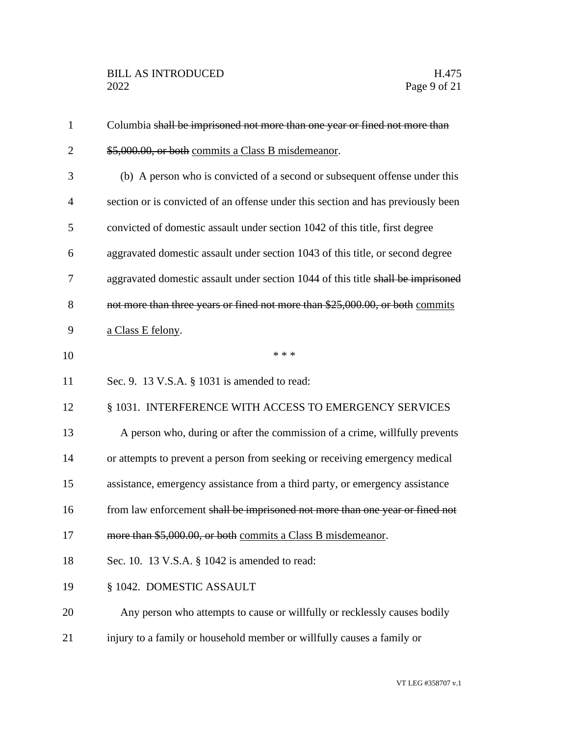| $\mathbf{1}$   | Columbia shall be imprisoned not more than one year or fined not more than       |
|----------------|----------------------------------------------------------------------------------|
| $\overline{2}$ | \$5,000.00, or both commits a Class B misdemeanor.                               |
| 3              | (b) A person who is convicted of a second or subsequent offense under this       |
| $\overline{4}$ | section or is convicted of an offense under this section and has previously been |
| 5              | convicted of domestic assault under section 1042 of this title, first degree     |
| 6              | aggravated domestic assault under section 1043 of this title, or second degree   |
| 7              | aggravated domestic assault under section 1044 of this title shall be imprisoned |
| 8              | not more than three years or fined not more than \$25,000.00, or both commits    |
| 9              | a Class E felony.                                                                |
| 10             | * * *                                                                            |
| 11             | Sec. 9. 13 V.S.A. § 1031 is amended to read:                                     |
| 12             | § 1031. INTERFERENCE WITH ACCESS TO EMERGENCY SERVICES                           |
| 13             | A person who, during or after the commission of a crime, willfully prevents      |
| 14             | or attempts to prevent a person from seeking or receiving emergency medical      |
| 15             | assistance, emergency assistance from a third party, or emergency assistance     |
| 16             | from law enforcement shall be imprisoned not more than one year or fined not     |
| 17             | more than \$5,000.00, or both commits a Class B misdemeanor.                     |
| 18             | Sec. 10. 13 V.S.A. § 1042 is amended to read:                                    |
| 19             | § 1042. DOMESTIC ASSAULT                                                         |
| 20             | Any person who attempts to cause or willfully or recklessly causes bodily        |
| 21             | injury to a family or household member or willfully causes a family or           |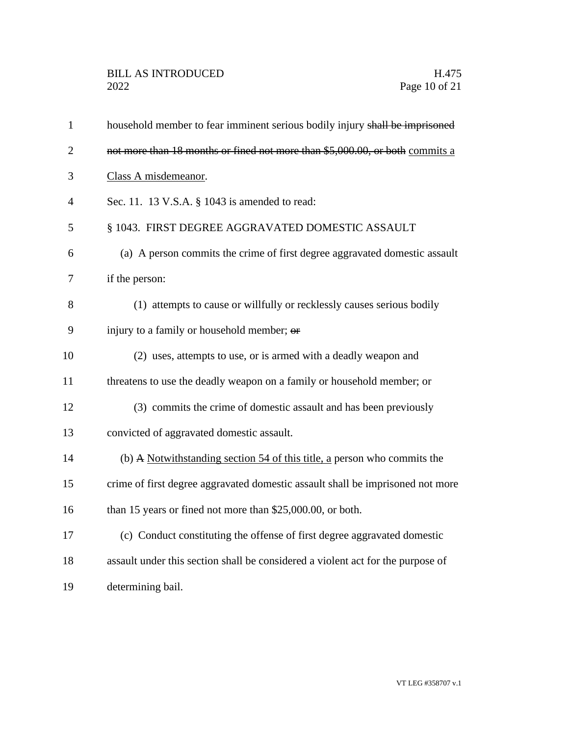| $\mathbf{1}$   | household member to fear imminent serious bodily injury shall be imprisoned     |
|----------------|---------------------------------------------------------------------------------|
| $\overline{2}$ | not more than 18 months or fined not more than \$5,000.00, or both commits a    |
| 3              | Class A misdemeanor.                                                            |
| $\overline{4}$ | Sec. 11. 13 V.S.A. § 1043 is amended to read:                                   |
| 5              | § 1043. FIRST DEGREE AGGRAVATED DOMESTIC ASSAULT                                |
| 6              | (a) A person commits the crime of first degree aggravated domestic assault      |
| $\overline{7}$ | if the person:                                                                  |
| 8              | (1) attempts to cause or willfully or recklessly causes serious bodily          |
| 9              | injury to a family or household member; or                                      |
| 10             | (2) uses, attempts to use, or is armed with a deadly weapon and                 |
| 11             | threatens to use the deadly weapon on a family or household member; or          |
| 12             | (3) commits the crime of domestic assault and has been previously               |
| 13             | convicted of aggravated domestic assault.                                       |
| 14             | (b) A Notwithstanding section 54 of this title, a person who commits the        |
| 15             | crime of first degree aggravated domestic assault shall be imprisoned not more  |
| 16             | than 15 years or fined not more than \$25,000.00, or both.                      |
| 17             | (c) Conduct constituting the offense of first degree aggravated domestic        |
| 18             | assault under this section shall be considered a violent act for the purpose of |
| 19             | determining bail.                                                               |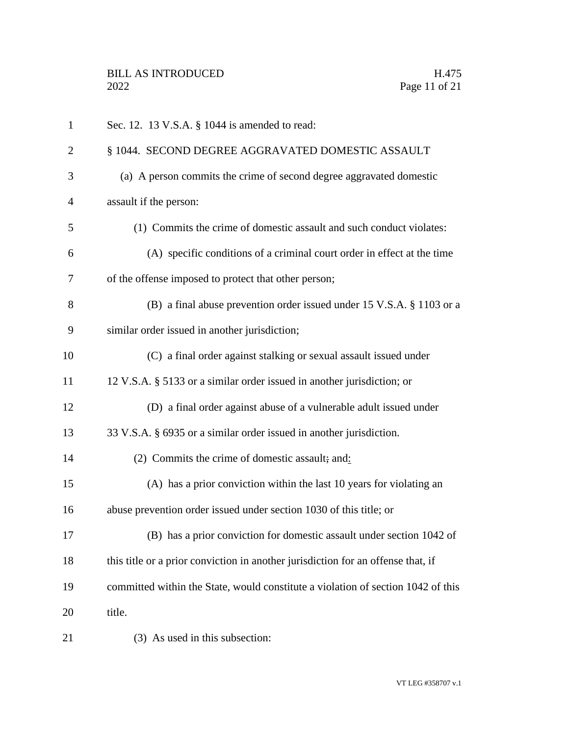| $\mathbf{1}$   | Sec. 12. 13 V.S.A. § 1044 is amended to read:                                    |
|----------------|----------------------------------------------------------------------------------|
| $\overline{2}$ | § 1044. SECOND DEGREE AGGRAVATED DOMESTIC ASSAULT                                |
| 3              | (a) A person commits the crime of second degree aggravated domestic              |
| $\overline{4}$ | assault if the person:                                                           |
| 5              | (1) Commits the crime of domestic assault and such conduct violates:             |
| 6              | (A) specific conditions of a criminal court order in effect at the time          |
| 7              | of the offense imposed to protect that other person;                             |
| 8              | (B) a final abuse prevention order issued under 15 V.S.A. § 1103 or a            |
| 9              | similar order issued in another jurisdiction;                                    |
| 10             | (C) a final order against stalking or sexual assault issued under                |
| 11             | 12 V.S.A. § 5133 or a similar order issued in another jurisdiction; or           |
| 12             | (D) a final order against abuse of a vulnerable adult issued under               |
| 13             | 33 V.S.A. § 6935 or a similar order issued in another jurisdiction.              |
| 14             | (2) Commits the crime of domestic assault; and:                                  |
| 15             | (A) has a prior conviction within the last 10 years for violating an             |
| 16             | abuse prevention order issued under section 1030 of this title; or               |
| 17             | (B) has a prior conviction for domestic assault under section 1042 of            |
| 18             | this title or a prior conviction in another jurisdiction for an offense that, if |
| 19             | committed within the State, would constitute a violation of section 1042 of this |
| 20             | title.                                                                           |
| 21             | (3) As used in this subsection:                                                  |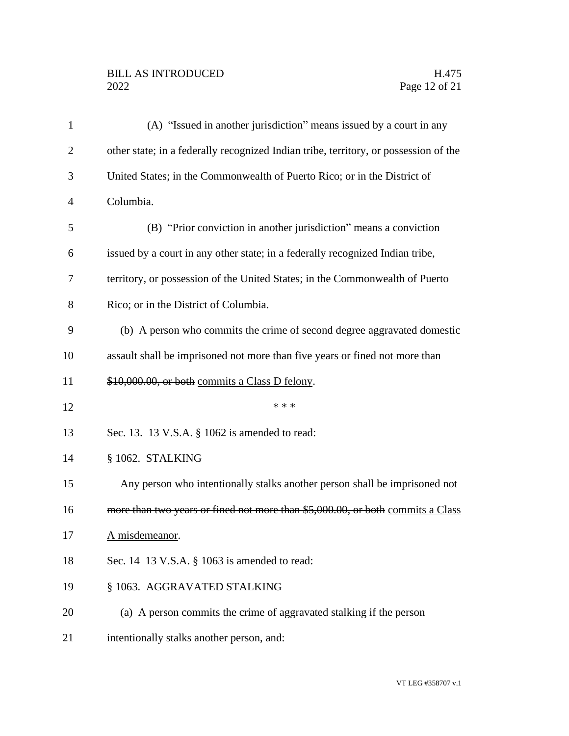# BILL AS INTRODUCED H.475<br>2022 Page 12 of 21

| $\mathbf{1}$   | (A) "Issued in another jurisdiction" means issued by a court in any                  |
|----------------|--------------------------------------------------------------------------------------|
| $\overline{2}$ | other state; in a federally recognized Indian tribe, territory, or possession of the |
| 3              | United States; in the Commonwealth of Puerto Rico; or in the District of             |
| $\overline{4}$ | Columbia.                                                                            |
| 5              | (B) "Prior conviction in another jurisdiction" means a conviction                    |
| 6              | issued by a court in any other state; in a federally recognized Indian tribe,        |
| 7              | territory, or possession of the United States; in the Commonwealth of Puerto         |
| 8              | Rico; or in the District of Columbia.                                                |
| 9              | (b) A person who commits the crime of second degree aggravated domestic              |
| 10             | assault shall be imprisoned not more than five years or fined not more than          |
| 11             | \$10,000.00, or both commits a Class D felony.                                       |
| 12             | * * *                                                                                |
| 13             | Sec. 13. 13 V.S.A. § 1062 is amended to read:                                        |
| 14             | § 1062. STALKING                                                                     |
| 15             | Any person who intentionally stalks another person shall be imprisoned not           |
| 16             | more than two years or fined not more than \$5,000.00, or both commits a Class       |
| 17             | A misdemeanor.                                                                       |
| 18             | Sec. 14 13 V.S.A. § 1063 is amended to read:                                         |
| 19             | § 1063. AGGRAVATED STALKING                                                          |
| 20             | (a) A person commits the crime of aggravated stalking if the person                  |
| 21             | intentionally stalks another person, and:                                            |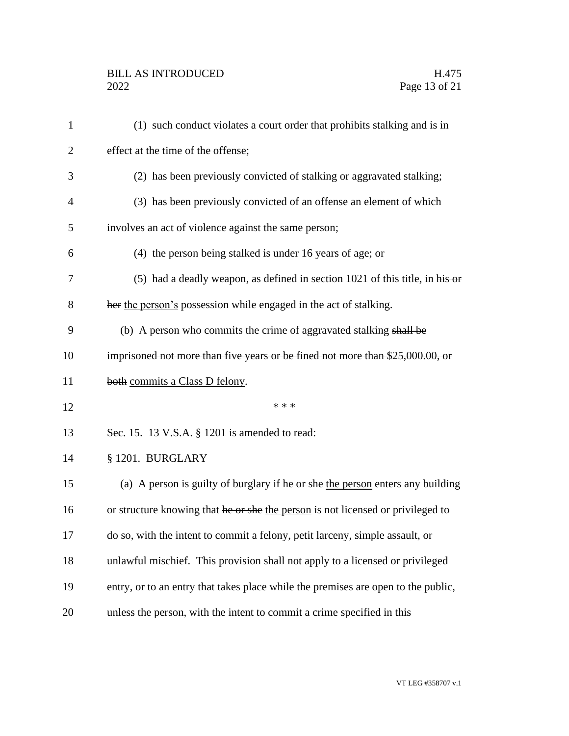# BILL AS INTRODUCED H.475<br>2022 Page 13 of 21

| $\mathbf{1}$   | (1) such conduct violates a court order that prohibits stalking and is in         |
|----------------|-----------------------------------------------------------------------------------|
| $\overline{2}$ | effect at the time of the offense;                                                |
| 3              | (2) has been previously convicted of stalking or aggravated stalking;             |
| $\overline{4}$ | (3) has been previously convicted of an offense an element of which               |
| 5              | involves an act of violence against the same person;                              |
| 6              | (4) the person being stalked is under 16 years of age; or                         |
| 7              | (5) had a deadly weapon, as defined in section $1021$ of this title, in his or    |
| 8              | her the person's possession while engaged in the act of stalking.                 |
| 9              | (b) A person who commits the crime of aggravated stalking shall be                |
| 10             | imprisoned not more than five years or be fined not more than \$25,000.00, or     |
| 11             | both commits a Class D felony.                                                    |
| 12             | * * *                                                                             |
| 13             | Sec. 15. 13 V.S.A. § 1201 is amended to read:                                     |
| 14             | § 1201. BURGLARY                                                                  |
| 15             | (a) A person is guilty of burglary if he or she the person enters any building    |
| 16             | or structure knowing that he or she the person is not licensed or privileged to   |
| 17             | do so, with the intent to commit a felony, petit larceny, simple assault, or      |
| 18             | unlawful mischief. This provision shall not apply to a licensed or privileged     |
| 19             | entry, or to an entry that takes place while the premises are open to the public, |
| 20             | unless the person, with the intent to commit a crime specified in this            |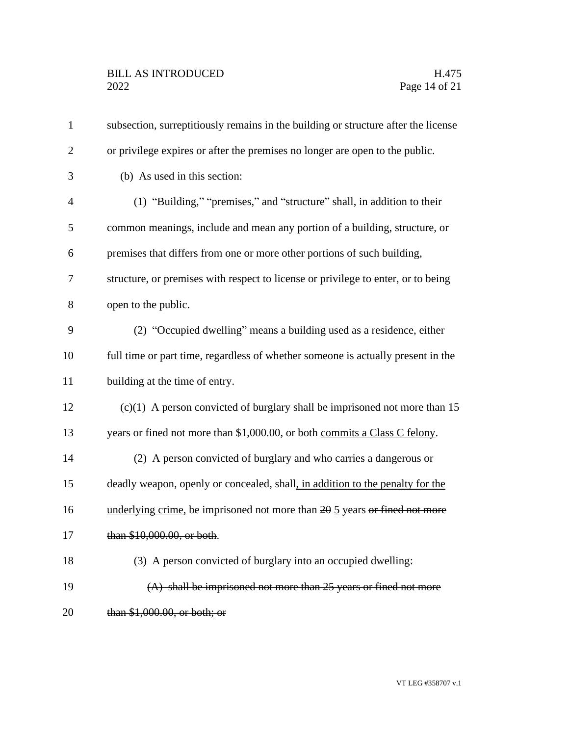| $\mathbf{1}$   | subsection, surreptitiously remains in the building or structure after the license |
|----------------|------------------------------------------------------------------------------------|
| $\overline{2}$ | or privilege expires or after the premises no longer are open to the public.       |
| 3              | (b) As used in this section:                                                       |
| $\overline{4}$ | (1) "Building," "premises," and "structure" shall, in addition to their            |
| 5              | common meanings, include and mean any portion of a building, structure, or         |
| 6              | premises that differs from one or more other portions of such building,            |
| 7              | structure, or premises with respect to license or privilege to enter, or to being  |
| 8              | open to the public.                                                                |
| 9              | (2) "Occupied dwelling" means a building used as a residence, either               |
| 10             | full time or part time, regardless of whether someone is actually present in the   |
| 11             | building at the time of entry.                                                     |
| 12             | $(c)(1)$ A person convicted of burglary shall be imprisoned not more than 15       |
| 13             | years or fined not more than \$1,000.00, or both commits a Class C felony.         |
| 14             | (2) A person convicted of burglary and who carries a dangerous or                  |
| 15             | deadly weapon, openly or concealed, shall, in addition to the penalty for the      |
| 16             | underlying crime, be imprisoned not more than 20 5 years or fined not more         |
| 17             | than \$10,000.00, or both.                                                         |
| 18             | (3) A person convicted of burglary into an occupied dwelling.                      |
| 19             | $(A)$ shall be imprisoned not more than 25 years or fined not more                 |
| 20             | than \$1,000.00, or both; or                                                       |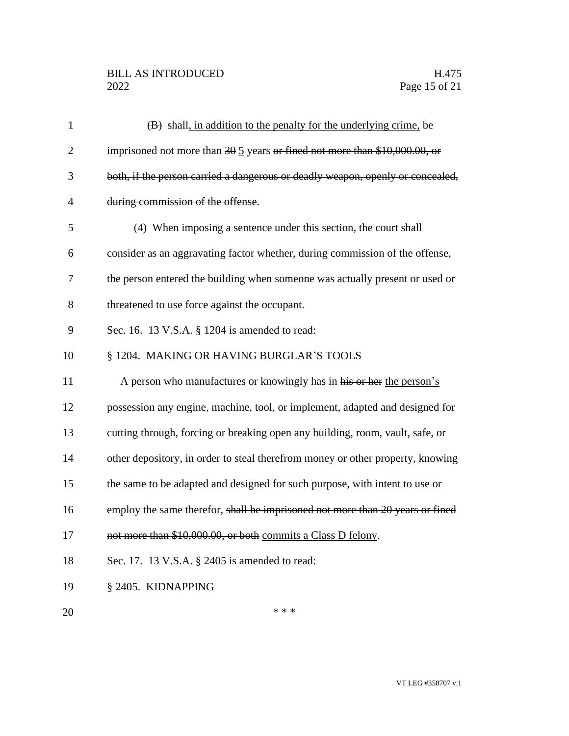# BILL AS INTRODUCED H.475<br>2022 Page 15 of 21

| $\mathbf{1}$   | $(B)$ shall, in addition to the penalty for the underlying crime, be                  |
|----------------|---------------------------------------------------------------------------------------|
| $\overline{2}$ | imprisoned not more than $30\frac{5}{9}$ years or fined not more than \$10,000.00, or |
| 3              | both, if the person carried a dangerous or deadly weapon, openly or concealed,        |
| $\overline{4}$ | during commission of the offense.                                                     |
| 5              | (4) When imposing a sentence under this section, the court shall                      |
| 6              | consider as an aggravating factor whether, during commission of the offense,          |
| 7              | the person entered the building when someone was actually present or used or          |
| 8              | threatened to use force against the occupant.                                         |
| 9              | Sec. 16. 13 V.S.A. § 1204 is amended to read:                                         |
| 10             | § 1204. MAKING OR HAVING BURGLAR'S TOOLS                                              |
| 11             | A person who manufactures or knowingly has in his or her the person's                 |
| 12             | possession any engine, machine, tool, or implement, adapted and designed for          |
| 13             | cutting through, forcing or breaking open any building, room, vault, safe, or         |
| 14             | other depository, in order to steal therefrom money or other property, knowing        |
| 15             | the same to be adapted and designed for such purpose, with intent to use or           |
| 16             | employ the same therefor, shall be imprisoned not more than 20 years or fined         |
| 17             | not more than \$10,000.00, or both commits a Class D felony.                          |
| 18             | Sec. 17. 13 V.S.A. § 2405 is amended to read:                                         |
| 19             | § 2405. KIDNAPPING                                                                    |
| 20             | * * *                                                                                 |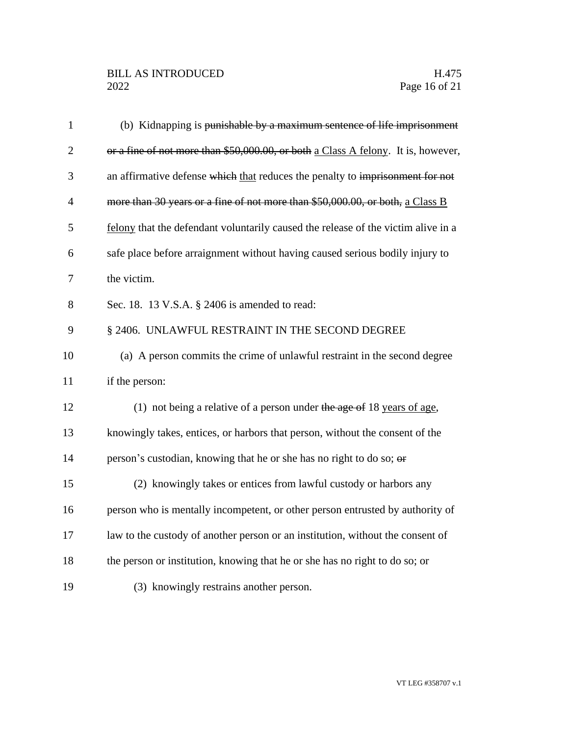| $\mathbf{1}$   | (b) Kidnapping is punishable by a maximum sentence of life imprisonment           |
|----------------|-----------------------------------------------------------------------------------|
| $\overline{2}$ | or a fine of not more than \$50,000.00, or both a Class A felony. It is, however, |
| 3              | an affirmative defense which that reduces the penalty to imprisonment for not     |
| $\overline{4}$ | more than 30 years or a fine of not more than \$50,000.00, or both, a Class B     |
| 5              | felony that the defendant voluntarily caused the release of the victim alive in a |
| 6              | safe place before arraignment without having caused serious bodily injury to      |
| 7              | the victim.                                                                       |
| 8              | Sec. 18. 13 V.S.A. § 2406 is amended to read:                                     |
| 9              | § 2406. UNLAWFUL RESTRAINT IN THE SECOND DEGREE                                   |
| 10             | (a) A person commits the crime of unlawful restraint in the second degree         |
| 11             | if the person:                                                                    |
| 12             | (1) not being a relative of a person under the age of 18 years of age,            |
| 13             | knowingly takes, entices, or harbors that person, without the consent of the      |
| 14             | person's custodian, knowing that he or she has no right to do so; or              |
| 15             | (2) knowingly takes or entices from lawful custody or harbors any                 |
| 16             | person who is mentally incompetent, or other person entrusted by authority of     |
| 17             | law to the custody of another person or an institution, without the consent of    |
| 18             | the person or institution, knowing that he or she has no right to do so; or       |
| 19             | (3) knowingly restrains another person.                                           |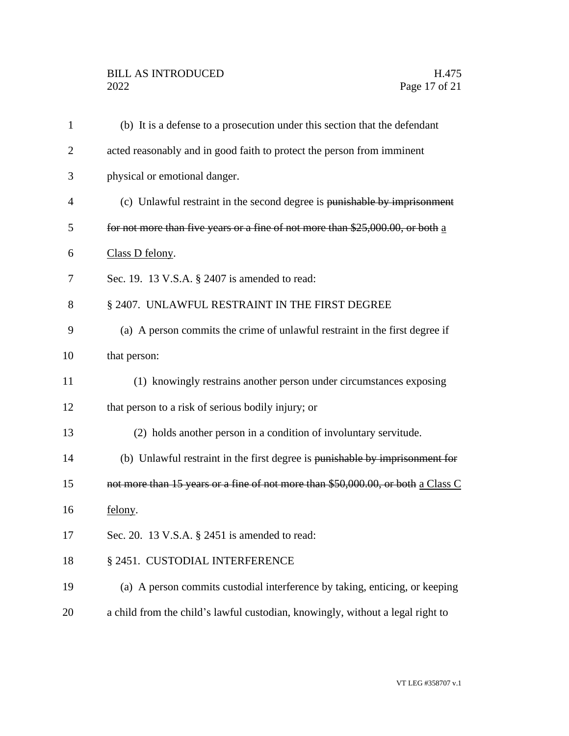# BILL AS INTRODUCED H.475<br>2022 Page 17 of 21

| $\mathbf{1}$   | (b) It is a defense to a prosecution under this section that the defendant       |
|----------------|----------------------------------------------------------------------------------|
| $\overline{2}$ | acted reasonably and in good faith to protect the person from imminent           |
| 3              | physical or emotional danger.                                                    |
| $\overline{4}$ | (c) Unlawful restraint in the second degree is punishable by imprisonment        |
| 5              | for not more than five years or a fine of not more than \$25,000.00, or both a   |
| 6              | Class D felony.                                                                  |
| 7              | Sec. 19. 13 V.S.A. § 2407 is amended to read:                                    |
| 8              | § 2407. UNLAWFUL RESTRAINT IN THE FIRST DEGREE                                   |
| 9              | (a) A person commits the crime of unlawful restraint in the first degree if      |
| 10             | that person:                                                                     |
| 11             | (1) knowingly restrains another person under circumstances exposing              |
| 12             | that person to a risk of serious bodily injury; or                               |
| 13             | (2) holds another person in a condition of involuntary servitude.                |
| 14             | (b) Unlawful restraint in the first degree is punishable by imprisonment for     |
| 15             | not more than 15 years or a fine of not more than \$50,000.00, or both a Class C |
| 16             | felony.                                                                          |
| 17             | Sec. 20. 13 V.S.A. § 2451 is amended to read:                                    |
| 18             | § 2451. CUSTODIAL INTERFERENCE                                                   |
| 19             | (a) A person commits custodial interference by taking, enticing, or keeping      |
| 20             | a child from the child's lawful custodian, knowingly, without a legal right to   |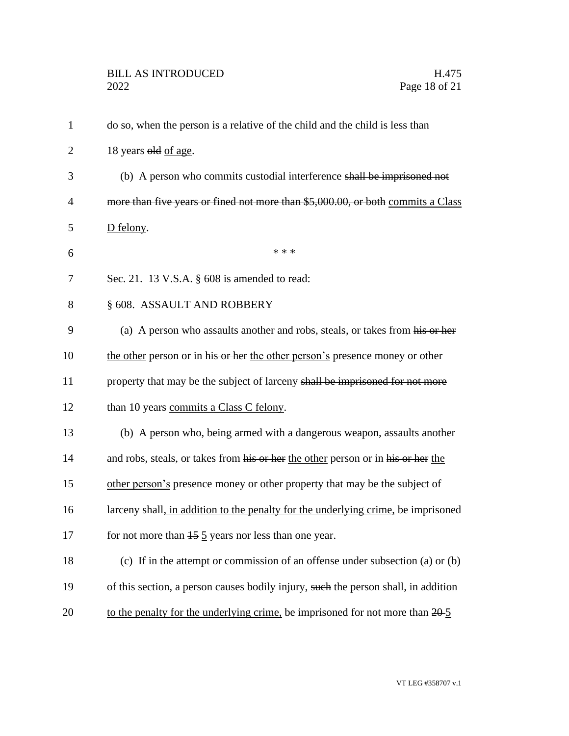| $\mathbf{1}$   | do so, when the person is a relative of the child and the child is less than       |
|----------------|------------------------------------------------------------------------------------|
| $\overline{2}$ | 18 years old of age.                                                               |
| 3              | (b) A person who commits custodial interference shall be imprisoned not            |
| 4              | more than five years or fined not more than \$5,000.00, or both commits a Class    |
| 5              | D felony.                                                                          |
| 6              | * * *                                                                              |
| 7              | Sec. 21. 13 V.S.A. § 608 is amended to read:                                       |
| 8              | § 608. ASSAULT AND ROBBERY                                                         |
| 9              | (a) A person who assaults another and robs, steals, or takes from his or her       |
| 10             | the other person or in his or her the other person's presence money or other       |
| 11             | property that may be the subject of larceny shall be imprisoned for not more       |
| 12             | than 10 years commits a Class C felony.                                            |
| 13             | (b) A person who, being armed with a dangerous weapon, assaults another            |
| 14             | and robs, steals, or takes from his or her the other person or in his or her the   |
| 15             | other person's presence money or other property that may be the subject of         |
| 16             | larceny shall, in addition to the penalty for the underlying crime, be imprisoned  |
| 17             | for not more than $\frac{15}{5}$ years nor less than one year.                     |
| 18             | (c) If in the attempt or commission of an offense under subsection (a) or (b)      |
| 19             | of this section, a person causes bodily injury, such the person shall, in addition |
| 20             | to the penalty for the underlying crime, be imprisoned for not more than $20-5$    |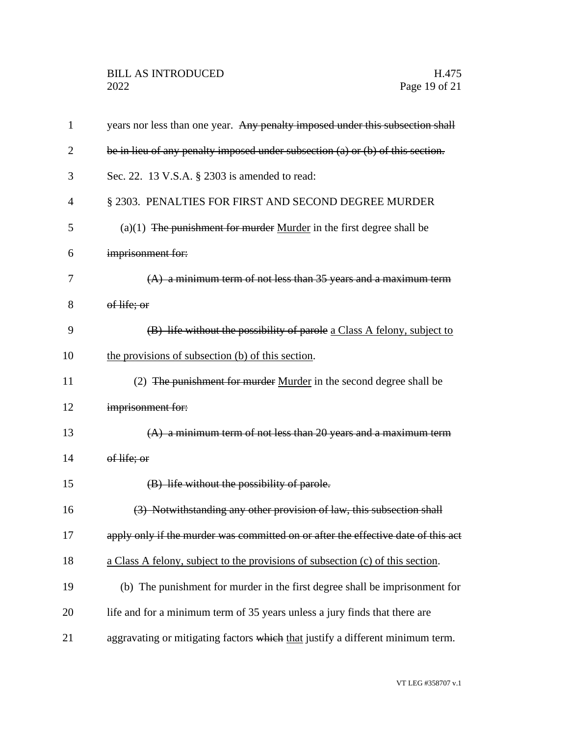| $\mathbf{1}$   | years nor less than one year. Any penalty imposed under this subsection shall      |
|----------------|------------------------------------------------------------------------------------|
| $\overline{2}$ | be in lieu of any penalty imposed under subsection $(a)$ or $(b)$ of this section. |
| 3              | Sec. 22. 13 V.S.A. § 2303 is amended to read:                                      |
| 4              | § 2303. PENALTIES FOR FIRST AND SECOND DEGREE MURDER                               |
| 5              | $(a)(1)$ The punishment for murder Murder in the first degree shall be             |
| 6              | imprisonment for:                                                                  |
| 7              | $(A)$ a minimum term of not less than 35 years and a maximum term                  |
| 8              | of life; or                                                                        |
| 9              | (B) life without the possibility of parole a Class A felony, subject to            |
| 10             | the provisions of subsection (b) of this section.                                  |
| 11             | (2) The punishment for murder Murder in the second degree shall be                 |
| 12             | imprisonment for:                                                                  |
| 13             | $(A)$ a minimum term of not less than 20 years and a maximum term                  |
| 14             | of life; or                                                                        |
| 15             | (B) life without the possibility of parole.                                        |
| 16             | (3) Notwithstanding any other provision of law, this subsection shall              |
| 17             | apply only if the murder was committed on or after the effective date of this act  |
| 18             | a Class A felony, subject to the provisions of subsection (c) of this section.     |
| 19             | (b) The punishment for murder in the first degree shall be imprisonment for        |
| 20             | life and for a minimum term of 35 years unless a jury finds that there are         |
| 21             | aggravating or mitigating factors which that justify a different minimum term.     |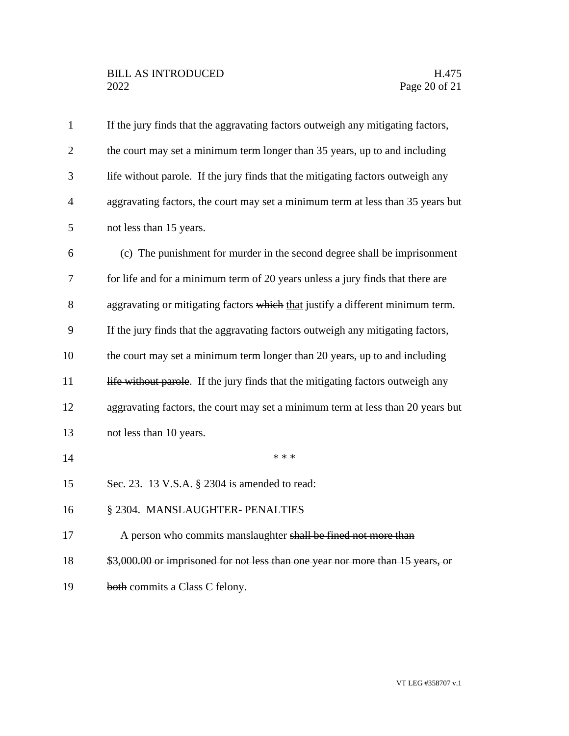# BILL AS INTRODUCED H.475<br>2022 Page 20 of 21

| $\mathbf{1}$   | If the jury finds that the aggravating factors outweigh any mitigating factors, |
|----------------|---------------------------------------------------------------------------------|
| $\overline{c}$ | the court may set a minimum term longer than 35 years, up to and including      |
| 3              | life without parole. If the jury finds that the mitigating factors outweigh any |
| $\overline{4}$ | aggravating factors, the court may set a minimum term at less than 35 years but |
| 5              | not less than 15 years.                                                         |
| 6              | (c) The punishment for murder in the second degree shall be imprisonment        |
| 7              | for life and for a minimum term of 20 years unless a jury finds that there are  |
| 8              | aggravating or mitigating factors which that justify a different minimum term.  |
| 9              | If the jury finds that the aggravating factors outweigh any mitigating factors, |
| 10             | the court may set a minimum term longer than 20 years, up to and including      |
| 11             | life without parole. If the jury finds that the mitigating factors outweigh any |
| 12             | aggravating factors, the court may set a minimum term at less than 20 years but |
| 13             | not less than 10 years.                                                         |
| 14             | * * *                                                                           |
| 15             | Sec. 23. 13 V.S.A. § 2304 is amended to read:                                   |
| 16             | § 2304. MANSLAUGHTER- PENALTIES                                                 |
| 17             | A person who commits manslaughter shall be fined not more than                  |
| 18             | \$3,000.00 or imprisoned for not less than one year nor more than 15 years, or  |
| 19             | both commits a Class C felony.                                                  |
|                |                                                                                 |